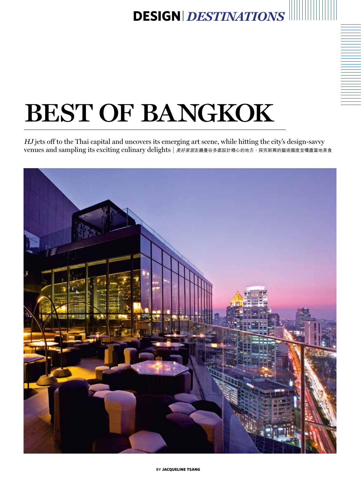## **design***| destinations*

# BEST OF BANGKOK

HJ jets off to the Thai capital and uncovers its emerging art scene, while hitting the city's design-savvy venues and sampling its exciting culinary delights | 美好家居走遍曼谷多處設計精心的地方,探究新興的藝術國度並嚐盡當地美食

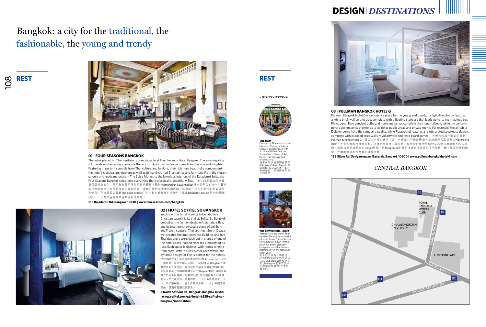## **design***| destinations*

**rest**



 $| 08$ 



Pullman Bangkok Hotel G,酒店大堂燈火通明,其中一邊築有一道白磚牆,並設懸浮式階梯通往 Playground 酒吧。不加裝飾的吊燈燈泡和防風燈完美營造工業風格,現代設計概念更延伸至其他公用範圍及私人房 間,就像格調同樣輕快的Deluxe房間,而Playground則重新演繹非法經營的酒吧風格,飾有磚瓦外露的牆 壁、生動的藝術品和懷舊的棋盤遊戲。

**the tower club, LEBUA** Vertigo not a problem? Then head up 50-plus floors to the all-suite Tower Club at Lebua, (in)famously known for the luxurious three-bedroom Hangover suite that featured prominently in *The Hangover*<br>// last year.<br>要是你不畏高,那就往 超過50層高的全套房酒店 Tower Club at Lebua進發吧!<br>其 3房 Hangover套房正是去<br>年*醉爆伴郎團2*的主要拍<br>攝場地。



#### **188 Silom Rd, Suriyawongse, Bangrak, Bangkok 10500 | www.pullmanbangkokhotelG.com**

**THE SIAM**  Created by Thai rock star and film actor Krissada Sukosol Clapp in collaboration with architect Bill Bensley, the Siam offers a blend of Art Deco, Thai heritage and urban luxury. 酒店由泰國搖滾明星兼影 星 Krissada Sukosol Clapp和建<br>築師 Bill Bensley合建,集合 裝飾藝術、泰國傳統和城 市的奢華。



*≈ other options!*





You know this hotel is going to be fabulous if Christian Lacroix is its stylist. Sofitel So Bangkok embodies the fashion designer's signature flair, and its interiors showcase a blend of old Siam and French couture. Thai architect Smith Obayawat created the dual-entrance building, and five Thai designers were each put in charge of one of the hotel zones, named after the elements of nature. Each space is distinct, with rooms ranging from cosy Earth to sleek Metal. Meanwhile, the dynamic design for Fire is perfect for the hotel's restaurants. | 酒店邀得時裝設計師Christian Lacroix出 任造型師,設計定能叫人傾心。Sofitel So Bangkok完美 體現他的天賦才能,室內設計洋溢著古暹羅(泰國前稱) 和法國氣息。泰國建築師Smith Obayawat創出這幢設有 雙入口的奪目建築,另有5位設計師分別負責不同區域, 並以天然元素命名,各有特色:「土」區氣氛愜意,「 木」區和諧寧靜,「金」區時尚豪華,「火」區則充滿 動感,跟酒店餐廳完美配合。

#### **01 | FOUR SEASONS BANGKOK**

The value placed on Thai heritage is unmistakable at Four Seasons Hotel Bangkok. The awe-inspiring silk panels on the ceiling showcase the work of Ajarn Paibun Suwannakudt and his son and daughter. Featuring important symbols from Thai culture and folklore, their rich hues beautifully complement the hotel's classical architecture as well as its hand-crafted Thai fabrics and furniture. From the vibrant colours and rustic materials in The Spice Market to the luxurious interiors of the Rajadamri Suite, the Four Seasons Bangkok celebrates everything that's classically, beautifully Thai. | 曼谷四季酒店向來著 重泰國傳統文化,天花飾有美不勝收的絲絹鑲板,陳列Ajarn Paibun Suwannakudt與一對子女的佳作。藝術 品包含當地文化和民間傳説的重要元素,濃艷的用色完美襯托酒店的一流建築,及人手製作的泰國織品 和傢具。不論是酒店餐廳The Spice Market內的生動色調和鄉村式物料,還是Rajadamri Suite套房內的豪華 設計,一切都洋溢著泰國古典悅目的氣息。

**155 Rajadamri Rd, Bangkok 10330 | www.fourseasons.com/bangkok** 

### Bangkok: a city for the traditional, the fashionable, the young and trendy



### **rest** 108



**2 North Sathorn Rd, Bangrak, Bangkok 10500 | www.sofitel.com/gb/hotel-6835-sofitel-sobangkok/index.shtml** 

### *central bangkok*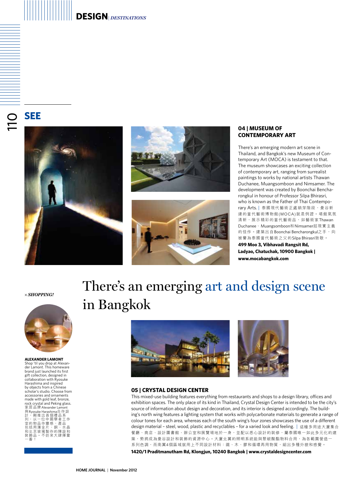### **design***| destinations*

**011 see**







#### **04 | MUSEUM OF CONTEMPORARY ART**

There's an emerging modern art scene in Thailand, and Bangkok's new Museum of Contemporary Art (MOCA) is testament to that. The museum showcases an exciting collection of contemporary art, ranging from surrealist paintings to works by national artists Thawan Duchanee, Muangsomboon and Nimsamer. The development was created by Boonchai Bencharongkul in honour of Professor Silpa Bhirasri, who is known as the Father of Thai Contemporary Arts. | 泰國現代藝術正處萌芽階段, 曼谷新 建的當代藝術博物館(MOCA)就是例證。場館氣氛 清新,展示精彩的當代藝術品,如藝術家Thawan Duchanee、Muangsomboon和Nimsamer超現實主義 的佳作。建築出自Boonchai Bencharongkul之手,向 被譽為泰國當代藝術之父的Silpa Bhirasri致敬。

**499 Moo 3, Vibhavadi Rangsit Rd, Ladyao, Chatuchak, 10900 Bangkok | www.mocabangkok.com** 

*≈ SHOPPING!*



**ALEXANDER LAMONT** 

Shop 'til you drop at Alexan-der Lamont. This homeware brand just launched its first gift collection, designed in collaboration with Ryosuke Harashima and inspired by objects from a Chinese scholar's studio. Choose from accessories and ornaments made with gold leaf, bronze, rock crystal and Peking glass. 家居品牌Alexander Lamont **與 Ryosuke Harashima合作設** 計・剛推出首個禮品系<br>列, 以一位中國學<br>小川一体<br>包括用薄金片、銅、小晶<br>包括用薄金片、銅、晶石<br>和北京玻璃製作的陳設和 裝飾品。不妨來大肆揮霍 一番!

### There's an emerging art and design scene in Bangkok



#### **05 | CRYSTAL DESIGN CENTER**

This mixed-use building features everything from restaurants and shops to a design library, offices and exhibition spaces. The only place of its kind in Thailand, Crystal Design Center is intended to be the city's source of information about design and decoration, and its interior is designed accordingly. The building's north wing features a lighting system that works with polycarbonate materials to generate a range of colour tones for each area, whereas each of the south wing's four zones showcases the use of a different design material – steel, wood, plastic and recyclables – for a varied look and feeling. | 這幢多用途大廈集合 餐廳、商店、設計圖書館、辦公室和展覽場地於一身,並配以悉心設計的裝修,屬泰國唯一如此多元化的建 築,勢將成為曼谷設計和裝飾的資源中心。大廈北翼的照明系統能與聚碳酸酯物料合用,為各範圍營造-系列色調,而南翼4個區域就用上不同設計材料:鐵、木、膠和循環再用物質,組出多種外貌和感覺。

**1420/1 Praditmanutham Rd, Klongjun, 10240 Bangkok | www.crystaldesigncenter.com**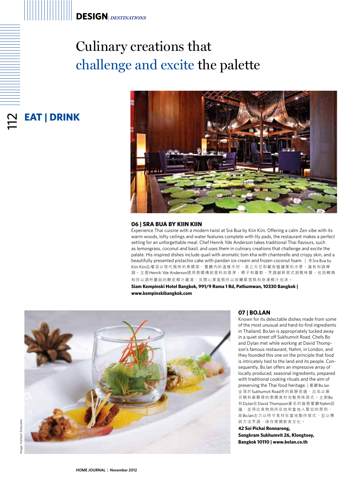### Culinary creations that challenge and excite the palette



#### **06 | SRA BUA BY KIIN KIIN**

Experience Thai cuisine with a modern twist at Sra Bua by Kiin Kiin. Offering a calm Zen vibe with its warm woods, lofty ceilings and water features complete with lily pads, the restaurant makes a perfect setting for an unforgettable meal. Chef Henrik Yde Anderson takes traditional Thai flavours, such as lemongrass, coconut and basil, and uses them in culinary creations that challenge and excite the palate. His inspired dishes include quail with aromatic tom kha with chanterelle and crispy skin, and a beautifully presented pistachio cake with pandan ice cream and frozen coconut foam. | 來Sra Bua by Kiin Kiin品嚐混以現代風味的泰國菜,餐廳內的溫暖木材、高立天花和載有睡蓮葉的水景,滿有和諧禪 調。主廚Henrik Yde Anderson選用泰國傳統香料如香茅、椰子和羅勒,烹調創新菜式挑戰味蕾,包括鵪鶉 和伴以酒杯蘑菇的酥皮椰汁雞湯,及開心果蛋糕伴以斑蘭葉雪糕和急凍椰汁泡沫。

**Siam Kempinski Hotel Bangkok, 991/9 Rama 1 Rd, Pathumwan, 10330 Bangkok | www.kempinskibangkok.com** 



#### **07 | BO.LAN**

Known for its delectable dishes made from some of the most unusual and hard-to-find ingredients in Thailand, Bo.lan is appropriately tucked away in a quiet street off Sukhumvit Road. Chefs Bo and Dylan met while working at David Thompson's famous restaurant, Nahm, in London, and they founded this one on the principle that food is intricately tied to the land and its people. Consequently, Bo.lan offers an impressive array of locally produced, seasonal ingredients, prepared with traditional cooking rituals and the aim of preserving the Thai food heritage. | 餐廳 Bo.lan 坐落於Sukhumvit Road旁的僻靜街道,出名以最 另類和最難尋的泰國食材泡製美味菜式。主廚Bo 和Dylan在David Thompson著名的倫敦餐廳Nahm認 識,並得出食物與所在地和當地人緊扣的原則, 故Bo.lan志力以時令食材在當地製作菜式,並以傳 統方法烹調,保存泰國飲食文化。

**42 Soi Pichai Ronnarong, Songkram Sukhumvit 26, Klongtoey, Bangkok 10110 | www.bolan.co.th**

2<br>112

**eat | drink**